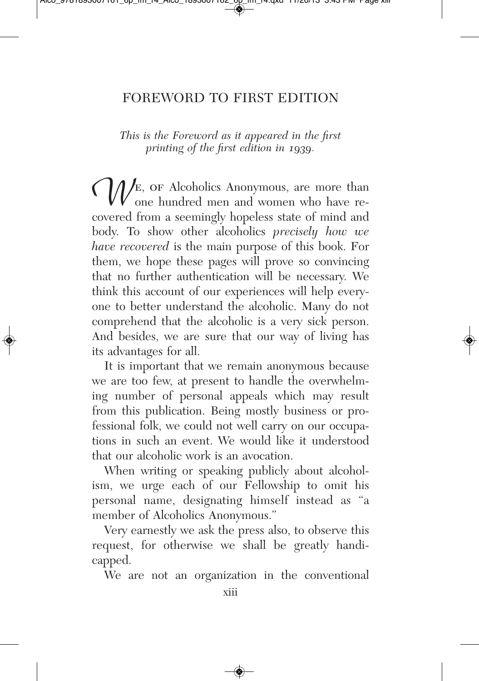## FOREWORD TO FIRST EDITION

*This is the Foreword as it appeared in the first printing of the first edition in 1939.*

We, or Alcoholics Anonymous, are more than<br>covered from a seemingly hopeless state of mind and one hundred men and women who have recovered from a seemingly hopeless state of mind and body. To show other alcoholics *precisely how we have recovered* is the main purpose of this book. For them, we hope these pages will prove so convincing that no further authentication will be necessary. We think this account of our experiences will help everyone to better understand the alcoholic. Many do not comprehend that the alcoholic is a very sick person. And besides, we are sure that our way of living has its advantages for all.

It is important that we remain anonymous because we are too few, at present to handle the overwhelming number of personal appeals which may result from this publication. Being mostly business or professional folk, we could not well carry on our occupations in such an event. We would like it understood that our alcoholic work is an avocation.

When writing or speaking publicly about alcoholism, we urge each of our Fellowship to omit his personal name, designating himself instead as "a member of Alcoholics Anonymous."

Very earnestly we ask the press also, to observe this request, for otherwise we shall be greatly handicapped.

We are not an organization in the conventional